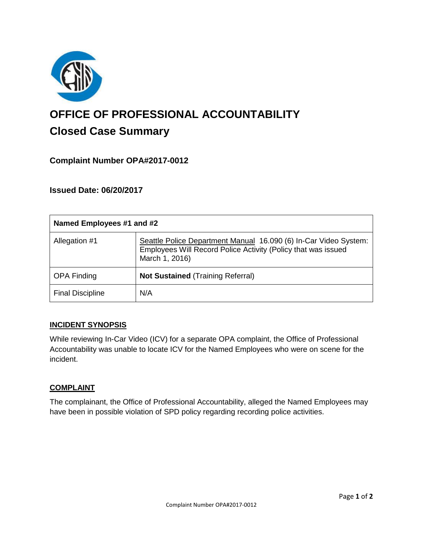

# **OFFICE OF PROFESSIONAL ACCOUNTABILITY Closed Case Summary**

## **Complaint Number OPA#2017-0012**

**Issued Date: 06/20/2017**

| Named Employees #1 and #2 |                                                                                                                                                     |
|---------------------------|-----------------------------------------------------------------------------------------------------------------------------------------------------|
| Allegation #1             | Seattle Police Department Manual 16.090 (6) In-Car Video System:<br>Employees Will Record Police Activity (Policy that was issued<br>March 1, 2016) |
| <b>OPA Finding</b>        | <b>Not Sustained (Training Referral)</b>                                                                                                            |
| <b>Final Discipline</b>   | N/A                                                                                                                                                 |

## **INCIDENT SYNOPSIS**

While reviewing In-Car Video (ICV) for a separate OPA complaint, the Office of Professional Accountability was unable to locate ICV for the Named Employees who were on scene for the incident.

#### **COMPLAINT**

The complainant, the Office of Professional Accountability, alleged the Named Employees may have been in possible violation of SPD policy regarding recording police activities.